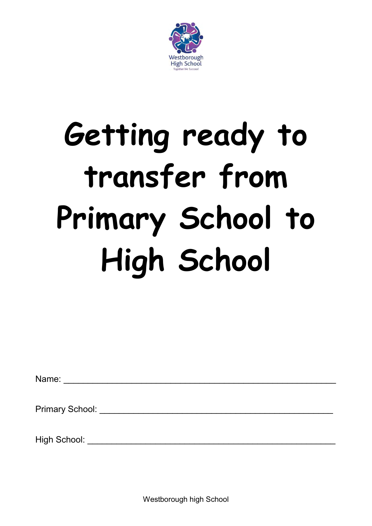

# **Getting ready to transfer from Primary School to High School**

Name: \_\_\_\_\_\_\_\_\_\_\_\_\_\_\_\_\_\_\_\_\_\_\_\_\_\_\_\_\_\_\_\_\_\_\_\_\_\_\_\_\_\_\_\_\_\_\_\_\_\_\_\_\_\_\_\_

Primary School: **Example 20** and 20 and 20 and 20 and 20 and 20 and 20 and 20 and 20 and 20 and 20 and 20 and 20 and 20 and 20 and 20 and 20 and 20 and 20 and 20 and 20 and 20 and 20 and 20 and 20 and 20 and 20 and 20 and

High School: \_\_\_\_\_\_\_\_\_\_\_\_\_\_\_\_\_\_\_\_\_\_\_\_\_\_\_\_\_\_\_\_\_\_\_\_\_\_\_\_\_\_\_\_\_\_\_\_\_\_\_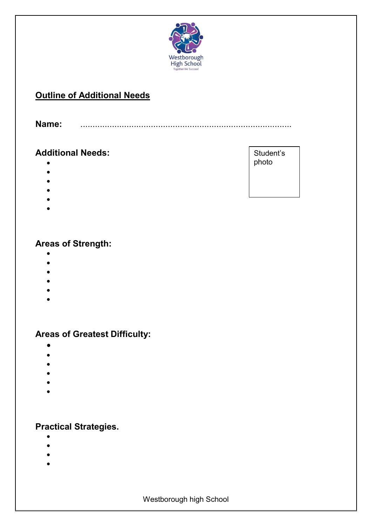

#### **Outline of Additional Needs**

**Name:** .......................................................................................

#### **Additional Needs:**

- 
- $\bullet$
- $\bullet$
- $\bullet$
- $\bullet$
- $\bullet$

#### **Areas of Strength:**

- $\bullet$
- $\bullet$
- $\bullet$
- $\bullet$
- $\bullet$
- $\bullet$

#### **Areas of Greatest Difficulty:**

- $\bullet$
- $\bullet$
- $\bullet$
- $\bullet$
- $\bullet$
- $\bullet$

#### **Practical Strategies.**

- $\bullet$
- $\bullet$
- $\bullet$
- $\bullet$

Student's photo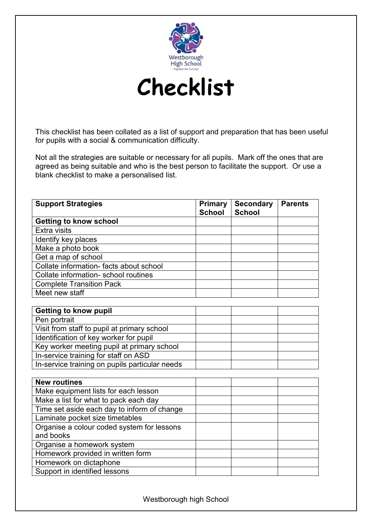



This checklist has been collated as a list of support and preparation that has been useful for pupils with a social & communication difficulty.

Not all the strategies are suitable or necessary for all pupils. Mark off the ones that are agreed as being suitable and who is the best person to facilitate the support. Or use a blank checklist to make a personalised list.

| <b>Support Strategies</b>                      | <b>Primary</b><br><b>School</b> | <b>Secondary</b><br><b>School</b> | <b>Parents</b> |
|------------------------------------------------|---------------------------------|-----------------------------------|----------------|
| <b>Getting to know school</b>                  |                                 |                                   |                |
| Extra visits                                   |                                 |                                   |                |
| Identify key places                            |                                 |                                   |                |
| Make a photo book                              |                                 |                                   |                |
| Get a map of school                            |                                 |                                   |                |
| Collate information- facts about school        |                                 |                                   |                |
| Collate information- school routines           |                                 |                                   |                |
| <b>Complete Transition Pack</b>                |                                 |                                   |                |
| Meet new staff                                 |                                 |                                   |                |
|                                                |                                 |                                   |                |
| <b>Getting to know pupil</b>                   |                                 |                                   |                |
| Pen portrait                                   |                                 |                                   |                |
| Visit from staff to pupil at primary school    |                                 |                                   |                |
| Identification of key worker for pupil         |                                 |                                   |                |
| Key worker meeting pupil at primary school     |                                 |                                   |                |
| In-service training for staff on ASD           |                                 |                                   |                |
| In-service training on pupils particular needs |                                 |                                   |                |
|                                                |                                 |                                   |                |
| <b>New routines</b>                            |                                 |                                   |                |
| Make equipment lists for each lesson           |                                 |                                   |                |
| Make a list for what to pack each day          |                                 |                                   |                |
| Time set aside each day to inform of change    |                                 |                                   |                |
| Laminate pocket size timetables                |                                 |                                   |                |
| Organise a colour coded system for lessons     |                                 |                                   |                |
| and books                                      |                                 |                                   |                |
| Organise a homework system                     |                                 |                                   |                |
| Homework provided in written form              |                                 |                                   |                |
| Homework on dictaphone                         |                                 |                                   |                |
| Support in identified lessons                  |                                 |                                   |                |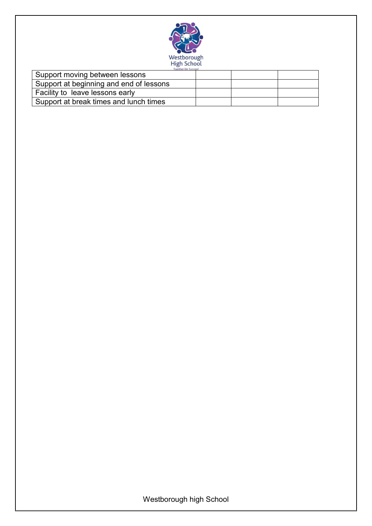

| Support moving between lessons          |  |  |
|-----------------------------------------|--|--|
| Support at beginning and end of lessons |  |  |
| Facility to leave lessons early         |  |  |
| Support at break times and lunch times  |  |  |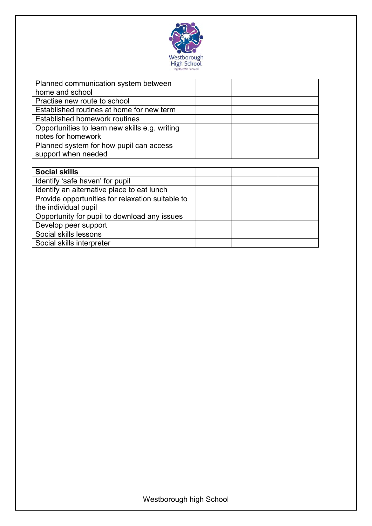

| Planned communication system between           |  |
|------------------------------------------------|--|
| home and school                                |  |
| Practise new route to school                   |  |
| Established routines at home for new term      |  |
| Established homework routines                  |  |
| Opportunities to learn new skills e.g. writing |  |
| notes for homework                             |  |
| Planned system for how pupil can access        |  |
| support when needed                            |  |

| <b>Social skills</b>                             |  |  |
|--------------------------------------------------|--|--|
| Identify 'safe haven' for pupil                  |  |  |
| Identify an alternative place to eat lunch       |  |  |
| Provide opportunities for relaxation suitable to |  |  |
| the individual pupil                             |  |  |
| Opportunity for pupil to download any issues     |  |  |
| Develop peer support                             |  |  |
| Social skills lessons                            |  |  |
| Social skills interpreter                        |  |  |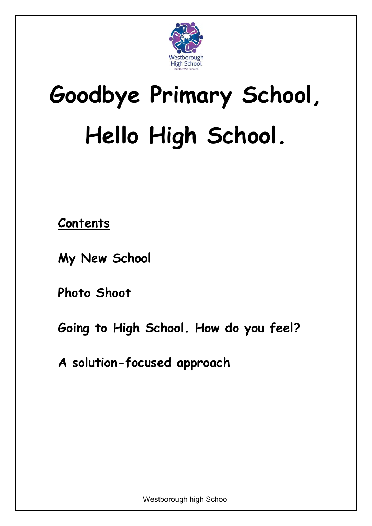

# **Goodbye Primary School, Hello High School.**

**Contents**

**[My New School](#page-6-0)**

**[Photo Shoot](#page-7-0)**

**[Going to High School.](#page-8-0) [How do you feel?](#page-8-1)**

**[A solution-focused approach](#page-10-0)**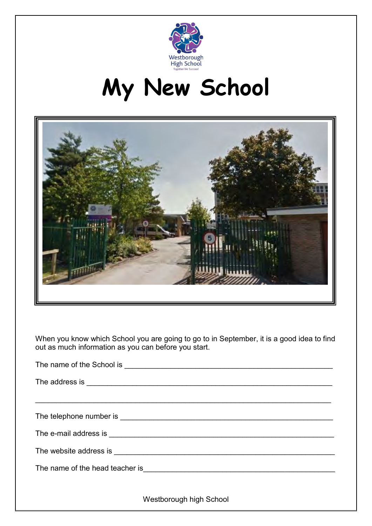

### **My New School**

<span id="page-6-0"></span>

When you know which School you are going to go to in September, it is a good idea to find out as much information as you can before you start.

| The address is experimental and the address is experimental and the address is experimental and the set of the set of the set of the set of the set of the set of the set of the set of the set of the set of the set of the s |
|--------------------------------------------------------------------------------------------------------------------------------------------------------------------------------------------------------------------------------|
| <u> 1989 - Johann Stoff, amerikansk politiker (* 1908)</u>                                                                                                                                                                     |
|                                                                                                                                                                                                                                |
|                                                                                                                                                                                                                                |
|                                                                                                                                                                                                                                |
|                                                                                                                                                                                                                                |
|                                                                                                                                                                                                                                |
| Westborough high School                                                                                                                                                                                                        |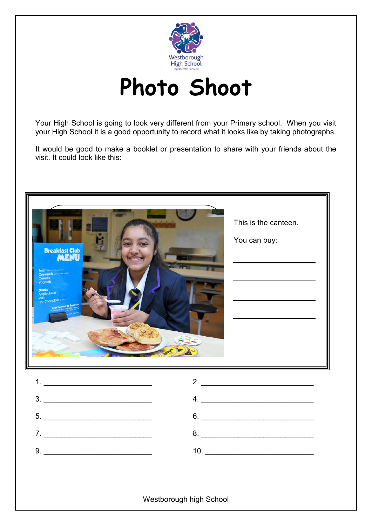

**Photo Shoot**

<span id="page-7-0"></span>Your High School is going to look very different from your Primary school. When you visit your High School it is a good opportunity to record what it looks like by taking photographs.

It would be good to make a booklet or presentation to share with your friends about the visit. It could look like this:

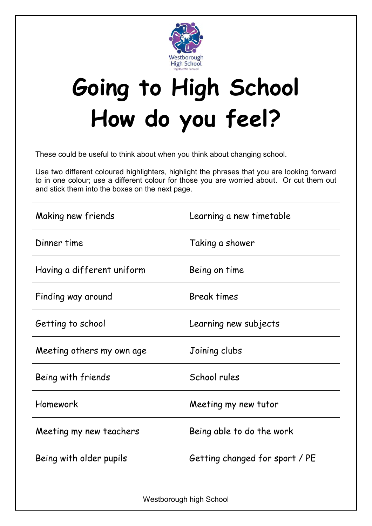

### <span id="page-8-1"></span><span id="page-8-0"></span>**Going to High School How do you feel?**

These could be useful to think about when you think about changing school.

Use two different coloured highlighters, highlight the phrases that you are looking forward to in one colour; use a different colour for those you are worried about. Or cut them out and stick them into the boxes on the next page.

| Making new friends         | Learning a new timetable       |
|----------------------------|--------------------------------|
| Dinner time                | Taking a shower                |
| Having a different uniform | Being on time                  |
| Finding way around         | <b>Break times</b>             |
| Getting to school          | Learning new subjects          |
| Meeting others my own age  | Joining clubs                  |
| Being with friends         | School rules                   |
| Homework                   | Meeting my new tutor           |
| Meeting my new teachers    | Being able to do the work      |
| Being with older pupils    | Getting changed for sport / PE |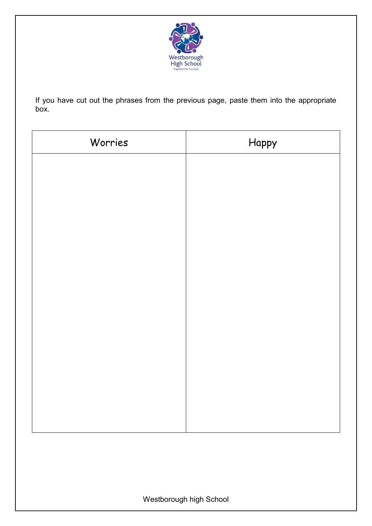

If you have cut out the phrases from the previous page, paste them into the appropriate box.

| Worries | Happy |
|---------|-------|
|         |       |
|         |       |
|         |       |
|         |       |
|         |       |
|         |       |
|         |       |
|         |       |
|         |       |
|         |       |
|         |       |
|         |       |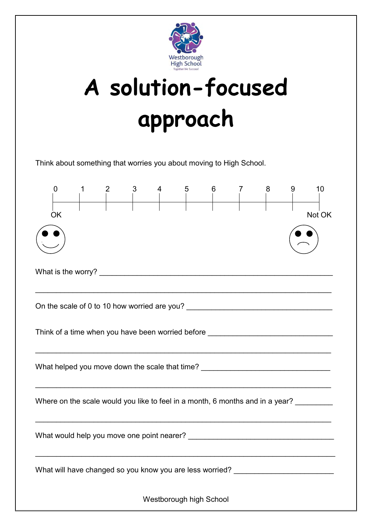

# <span id="page-10-0"></span>**A solution-focused approach**

Think about something that worries you about moving to High School.

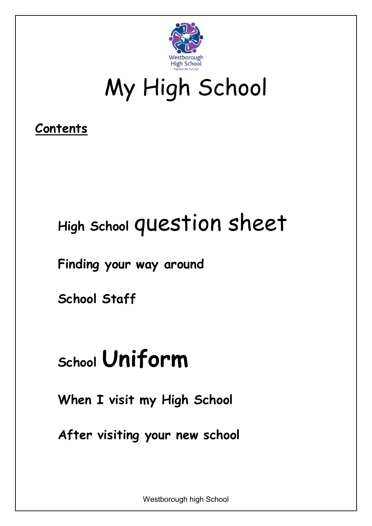

### My High School

### **Contents**

### **High School** [question sheet](#page-12-0)

**[Finding your way around](#page-17-0)**

**[School Staff](#page-18-0)**

### **School [Uniform](#page-18-1)**

**[When I visit my High School](#page-23-0)**

**[After visiting your new school](#page-24-0)**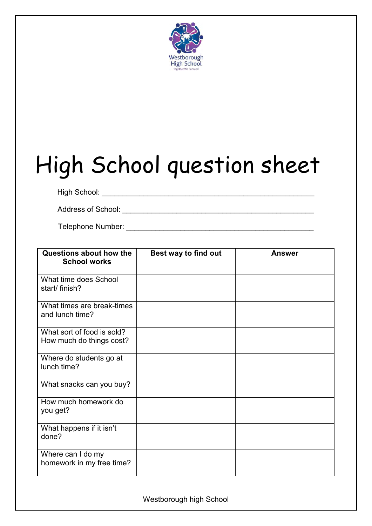

# <span id="page-12-0"></span>High School question sheet

High School: \_\_\_\_\_\_\_\_\_\_\_\_\_\_\_\_\_\_\_\_\_\_\_\_\_\_\_\_\_\_\_\_\_\_\_\_\_\_\_\_\_\_\_\_\_\_\_\_\_\_\_

Address of School: \_\_\_\_\_\_\_\_\_\_\_\_\_\_\_\_\_\_\_\_\_\_\_\_\_\_\_\_\_\_\_\_\_\_\_\_\_\_\_\_\_\_\_\_\_\_

Telephone Number: **Example 20** and the set of the set of the set of the set of the set of the set of the set of the set of the set of the set of the set of the set of the set of the set of the set of the set of the set of

| Questions about how the<br><b>School works</b>         | Best way to find out | <b>Answer</b> |
|--------------------------------------------------------|----------------------|---------------|
| What time does School<br>start/ finish?                |                      |               |
| What times are break-times<br>and lunch time?          |                      |               |
| What sort of food is sold?<br>How much do things cost? |                      |               |
| Where do students go at<br>lunch time?                 |                      |               |
| What snacks can you buy?                               |                      |               |
| How much homework do<br>you get?                       |                      |               |
| What happens if it isn't<br>done?                      |                      |               |
| Where can I do my<br>homework in my free time?         |                      |               |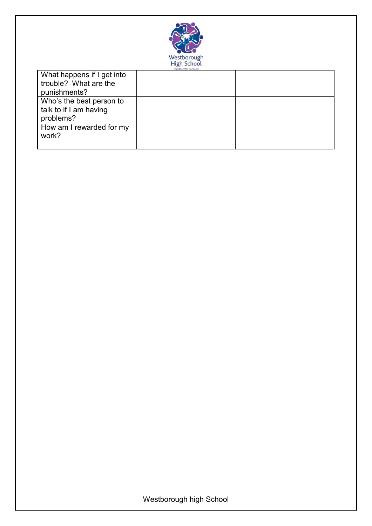

| What happens if I get into<br>trouble? What are the<br>punishments? |  |
|---------------------------------------------------------------------|--|
| Who's the best person to<br>talk to if I am having<br>problems?     |  |
| How am I rewarded for my<br>work?                                   |  |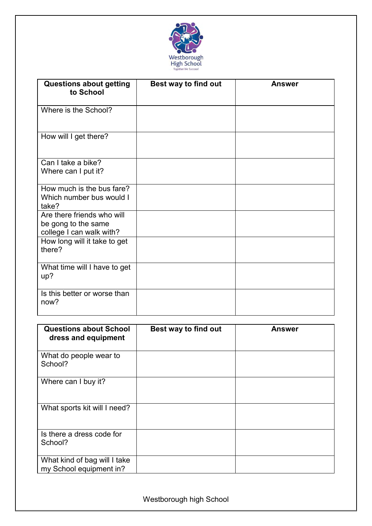

| <b>Questions about getting</b><br>to School                                   | Best way to find out | <b>Answer</b> |
|-------------------------------------------------------------------------------|----------------------|---------------|
| Where is the School?                                                          |                      |               |
| How will I get there?                                                         |                      |               |
| Can I take a bike?<br>Where can I put it?                                     |                      |               |
| How much is the bus fare?<br>Which number bus would I<br>take?                |                      |               |
| Are there friends who will<br>be gong to the same<br>college I can walk with? |                      |               |
| How long will it take to get<br>there?                                        |                      |               |
| What time will I have to get<br>up?                                           |                      |               |
| Is this better or worse than<br>now?                                          |                      |               |

| <b>Questions about School</b><br>dress and equipment    | Best way to find out | Answer |
|---------------------------------------------------------|----------------------|--------|
| What do people wear to<br>School?                       |                      |        |
| Where can I buy it?                                     |                      |        |
| What sports kit will I need?                            |                      |        |
| Is there a dress code for<br>School?                    |                      |        |
| What kind of bag will I take<br>my School equipment in? |                      |        |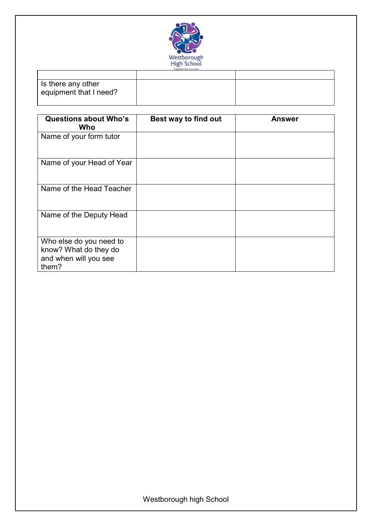

| Is there any other<br>equipment that I need? |  |
|----------------------------------------------|--|

| <b>Questions about Who's</b><br>Who                                                | Best way to find out | <b>Answer</b> |
|------------------------------------------------------------------------------------|----------------------|---------------|
| Name of your form tutor                                                            |                      |               |
| Name of your Head of Year                                                          |                      |               |
| Name of the Head Teacher                                                           |                      |               |
| Name of the Deputy Head                                                            |                      |               |
| Who else do you need to<br>know? What do they do<br>and when will you see<br>them? |                      |               |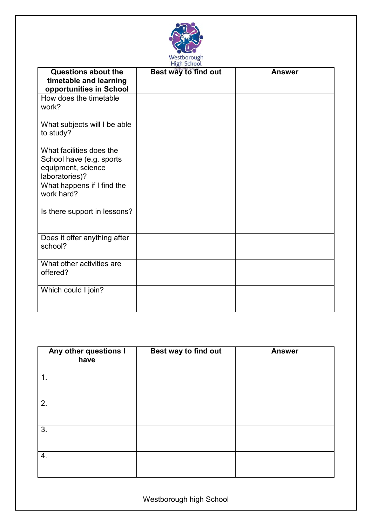

| <b>Questions about the</b><br>timetable and learning<br>opportunities in School              | Best way to find out | <b>Answer</b> |
|----------------------------------------------------------------------------------------------|----------------------|---------------|
| How does the timetable<br>work?                                                              |                      |               |
| What subjects will I be able<br>to study?                                                    |                      |               |
| What facilities does the<br>School have (e.g. sports<br>equipment, science<br>laboratories)? |                      |               |
| What happens if I find the<br>work hard?                                                     |                      |               |
| Is there support in lessons?                                                                 |                      |               |
| Does it offer anything after<br>school?                                                      |                      |               |
| What other activities are<br>offered?                                                        |                      |               |
| Which could I join?                                                                          |                      |               |

| Any other questions I<br>have | Best way to find out | <b>Answer</b> |
|-------------------------------|----------------------|---------------|
| 1.                            |                      |               |
| 2.                            |                      |               |
| 3.                            |                      |               |
| 4.                            |                      |               |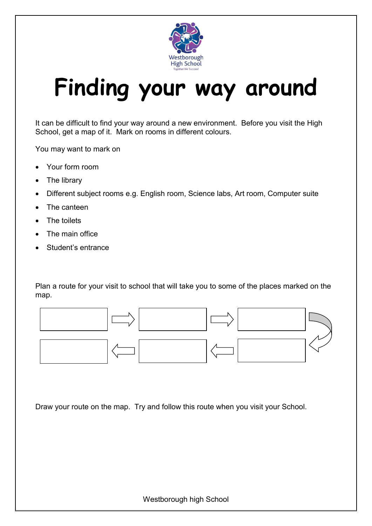

### <span id="page-17-0"></span>**Finding your way around**

It can be difficult to find your way around a new environment. Before you visit the High School, get a map of it. Mark on rooms in different colours.

You may want to mark on

- Your form room
- The library
- Different subject rooms e.g. English room, Science labs, Art room, Computer suite
- The canteen
- The toilets
- The main office
- Student's entrance

Plan a route for your visit to school that will take you to some of the places marked on the map.



Draw your route on the map. Try and follow this route when you visit your School.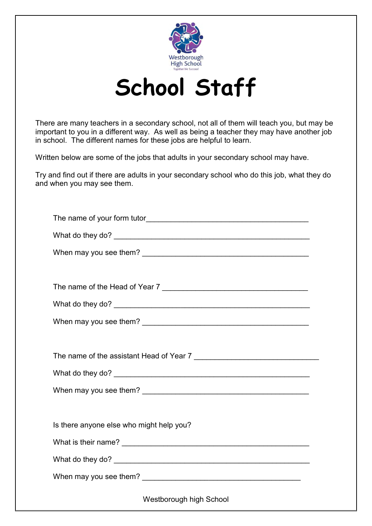

### **School Staff**

<span id="page-18-0"></span>There are many teachers in a secondary school, not all of them will teach you, but may be important to you in a different way. As well as being a teacher they may have another job in school. The different names for these jobs are helpful to learn.

Written below are some of the jobs that adults in your secondary school may have.

Try and find out if there are adults in your secondary school who do this job, what they do and when you may see them.

<span id="page-18-1"></span>

| The name of the Head of Year 7           |  |  |
|------------------------------------------|--|--|
|                                          |  |  |
|                                          |  |  |
|                                          |  |  |
| The name of the assistant Head of Year 7 |  |  |
|                                          |  |  |
|                                          |  |  |
|                                          |  |  |
| Is there anyone else who might help you? |  |  |
|                                          |  |  |
|                                          |  |  |
|                                          |  |  |
| <b>Westborough high School</b>           |  |  |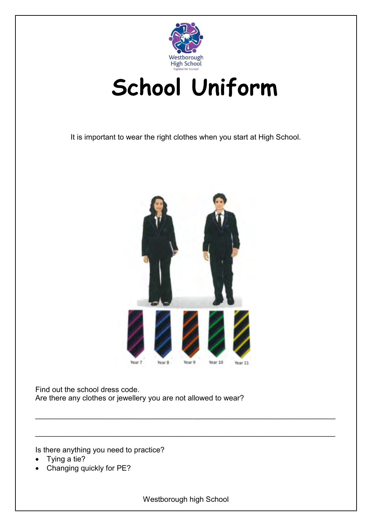

### **School Uniform**

It is important to wear the right clothes when you start at High School.



Find out the school dress code. Are there any clothes or jewellery you are not allowed to wear?

Is there anything you need to practice?

- Tying a tie?
- Changing quickly for PE?

Westborough high School

\_\_\_\_\_\_\_\_\_\_\_\_\_\_\_\_\_\_\_\_\_\_\_\_\_\_\_\_\_\_\_\_\_\_\_\_\_\_\_\_\_\_\_\_\_\_\_\_\_\_\_\_\_\_\_\_\_\_\_\_\_\_\_\_\_\_\_\_\_\_\_\_

 $\Box$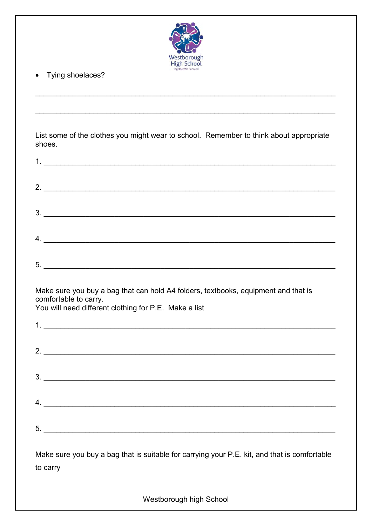

• Tying shoelaces?

List some of the clothes you might wear to school. Remember to think about appropriate shoes.

| $\begin{array}{c} \hline \text{3.} \end{array}$                                                                                                                      |
|----------------------------------------------------------------------------------------------------------------------------------------------------------------------|
| $4.$ $\overline{\phantom{a}}$                                                                                                                                        |
|                                                                                                                                                                      |
| Make sure you buy a bag that can hold A4 folders, textbooks, equipment and that is<br>comfortable to carry.<br>You will need different clothing for P.E. Make a list |
|                                                                                                                                                                      |
| $2.$ $\overline{\phantom{a}}$                                                                                                                                        |
|                                                                                                                                                                      |
|                                                                                                                                                                      |
| $5.$ $\overline{\phantom{a}}$                                                                                                                                        |
| Make sure you buy a bag that is suitable for carrying your P.E. kit, and that is comfortable<br>to carry                                                             |
| Westborough high School                                                                                                                                              |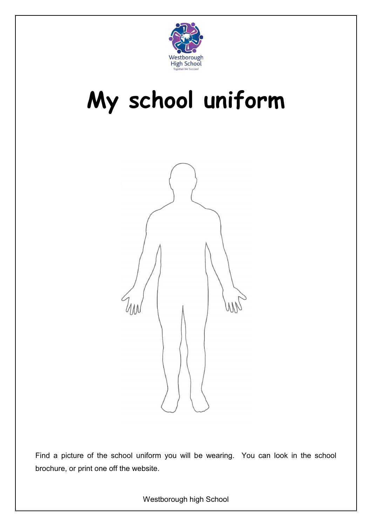

### **My school uniform**



Find a picture of the school uniform you will be wearing. You can look in the school brochure, or print one off the website.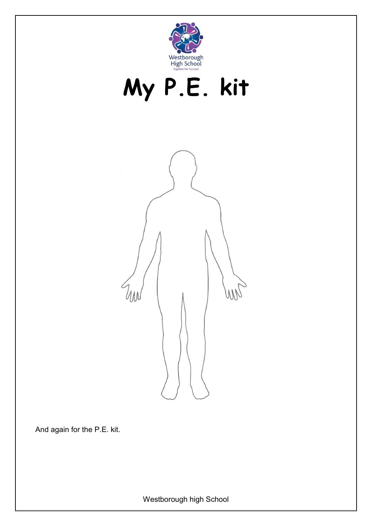





And again for the P.E. kit.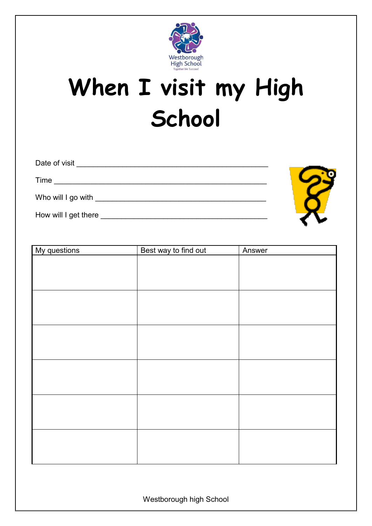

### <span id="page-23-0"></span>**When I visit my High School**

| Date of visit             |  |
|---------------------------|--|
| Time                      |  |
| Who will I go with ______ |  |
| How will I get there      |  |

| My questions | Best way to find out | Answer |
|--------------|----------------------|--------|
|              |                      |        |
|              |                      |        |
|              |                      |        |
|              |                      |        |
|              |                      |        |
|              |                      |        |
|              |                      |        |
|              |                      |        |
|              |                      |        |
|              |                      |        |
|              |                      |        |
|              |                      |        |
|              |                      |        |
|              |                      |        |
|              |                      |        |
|              |                      |        |
|              |                      |        |
|              |                      |        |
|              |                      |        |
|              |                      |        |
|              |                      |        |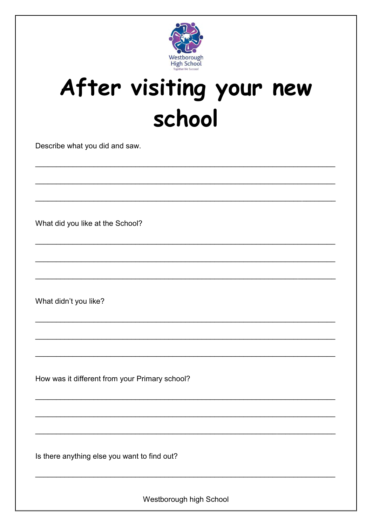

### <span id="page-24-0"></span>After visiting your new school

Describe what you did and saw.

What did you like at the School?

What didn't you like?

How was it different from your Primary school?

Is there anything else you want to find out?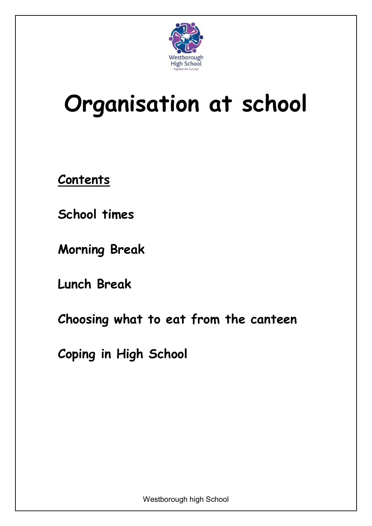

### **Organisation at school**

**Contents**

**[School times](#page-26-0)**

**[Morning](#page-27-0) Break**

**[Lunch Break](#page-28-0)**

**[Choosing what to eat from the canteen](#page-31-0)**

**[Coping in High School](#page-32-0)**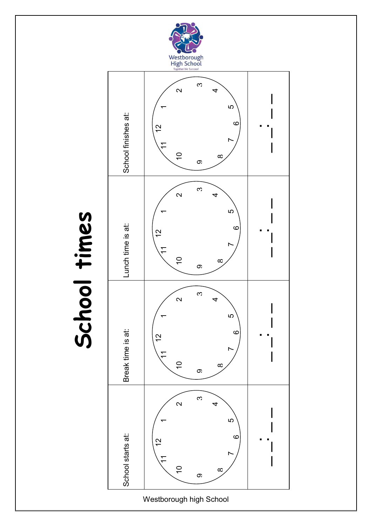<span id="page-26-0"></span>

# School times **School times**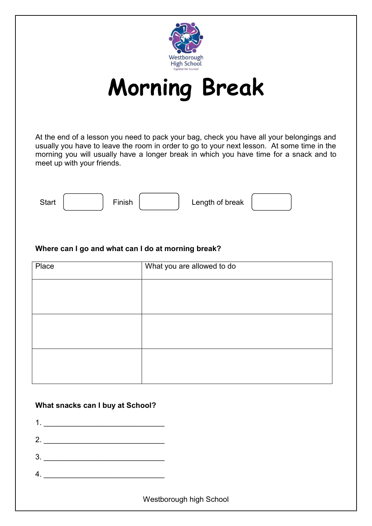

**Morning Break**

<span id="page-27-0"></span>At the end of a lesson you need to pack your bag, check you have all your belongings and usually you have to leave the room in order to go to your next lesson. At some time in the morning you will usually have a longer break in which you have time for a snack and to meet up with your friends.



#### **Where can I go and what can I do at morning break?**

| Place | What you are allowed to do |
|-------|----------------------------|
|       |                            |
|       |                            |
|       |                            |
|       |                            |
|       |                            |
|       |                            |

#### **What snacks can I buy at School?**

1. \_\_\_\_\_\_\_\_\_\_\_\_\_\_\_\_\_\_\_\_\_\_\_\_\_\_\_\_\_

- 2. \_\_\_\_\_\_\_\_\_\_\_\_\_\_\_\_\_\_\_\_\_\_\_\_\_\_\_\_\_
- 3. \_\_\_\_\_\_\_\_\_\_\_\_\_\_\_\_\_\_\_\_\_\_\_\_\_\_\_\_\_
- $4.$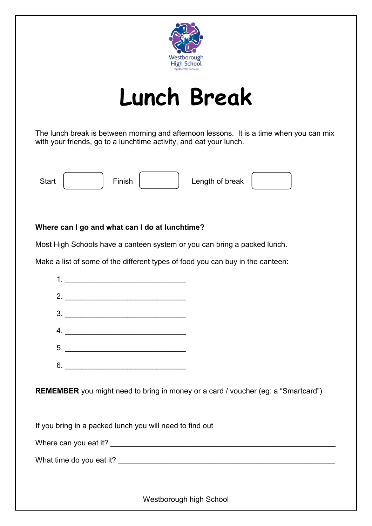

### **Lunch Break**

<span id="page-28-0"></span>The lunch break is between morning and afternoon lessons. It is a time when you can mix with your friends, go to a lunchtime activity, and eat your lunch.



#### **Where can I go and what can I do at lunchtime?**

Most High Schools have a canteen system or you can bring a packed lunch.

Make a list of some of the different types of food you can buy in the canteen:



**REMEMBER** you might need to bring in money or a card / voucher (eg: a "Smartcard")

If you bring in a packed lunch you will need to find out

Where can you eat it? **Where can you eat it? Where can you eat it? Where can you eat it?** 

What time do you eat it? \_\_\_\_\_\_\_\_\_\_\_\_\_\_\_\_\_\_\_\_\_\_\_\_\_\_\_\_\_\_\_\_\_\_\_\_\_\_\_\_\_\_\_\_\_\_\_\_\_\_\_\_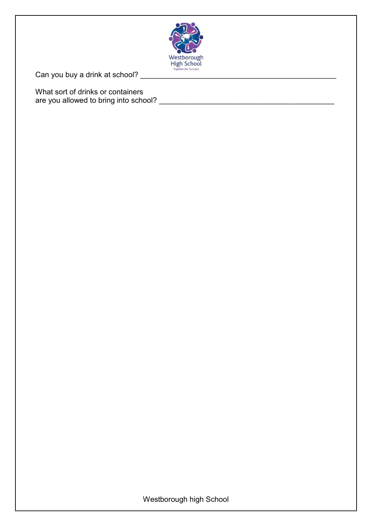

Can you buy a drink at school? \_\_\_\_\_\_\_\_\_\_\_\_\_\_\_\_\_\_\_\_\_\_\_\_\_\_\_\_\_\_\_\_\_\_\_\_\_\_\_\_\_\_\_\_\_\_\_

What sort of drinks or containers are you allowed to bring into school? \_\_\_\_\_\_\_\_\_\_\_\_\_\_\_\_\_\_\_\_\_\_\_\_\_\_\_\_\_\_\_\_\_\_\_\_\_\_\_\_\_\_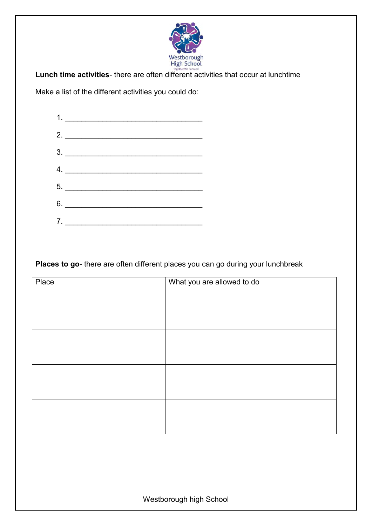

**Lunch time activities**- there are often different activities that occur at lunchtime

Make a list of the different activities you could do:



**Places to go**- there are often different places you can go during your lunchbreak

| Place | What you are allowed to do |
|-------|----------------------------|
|       |                            |
|       |                            |
|       |                            |
|       |                            |
|       |                            |
|       |                            |
|       |                            |
|       |                            |
|       |                            |
|       |                            |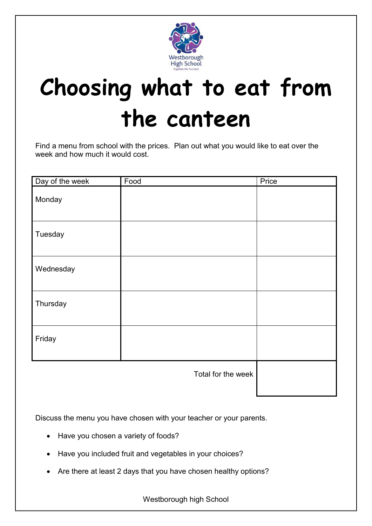

### <span id="page-31-0"></span>**Choosing what to eat from the canteen**

Find a menu from school with the prices. Plan out what you would like to eat over the week and how much it would cost.

| Day of the week | Food               | Price |
|-----------------|--------------------|-------|
| Monday          |                    |       |
| Tuesday         |                    |       |
| Wednesday       |                    |       |
| Thursday        |                    |       |
| Friday          |                    |       |
|                 | Total for the week |       |

Discuss the menu you have chosen with your teacher or your parents.

- Have you chosen a variety of foods?
- Have you included fruit and vegetables in your choices?
- Are there at least 2 days that you have chosen healthy options?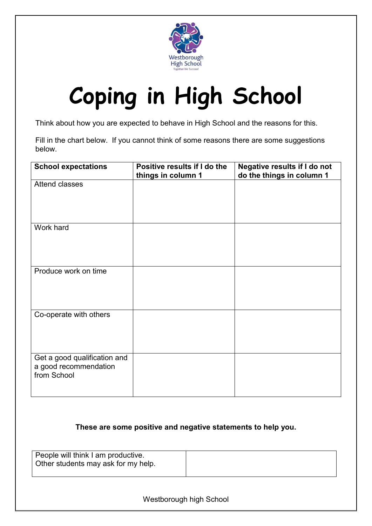

### <span id="page-32-0"></span>**Coping in High School**

Think about how you are expected to behave in High School and the reasons for this.

Fill in the chart below. If you cannot think of some reasons there are some suggestions below.

| <b>School expectations</b>                                           | Positive results if I do the<br>things in column 1 | <b>Negative results if I do not</b><br>do the things in column 1 |
|----------------------------------------------------------------------|----------------------------------------------------|------------------------------------------------------------------|
| Attend classes                                                       |                                                    |                                                                  |
| Work hard                                                            |                                                    |                                                                  |
| Produce work on time                                                 |                                                    |                                                                  |
| Co-operate with others                                               |                                                    |                                                                  |
| Get a good qualification and<br>a good recommendation<br>from School |                                                    |                                                                  |

#### **These are some positive and negative statements to help you.**

| People will think I am productive.<br>Other students may ask for my help. |  |
|---------------------------------------------------------------------------|--|
|                                                                           |  |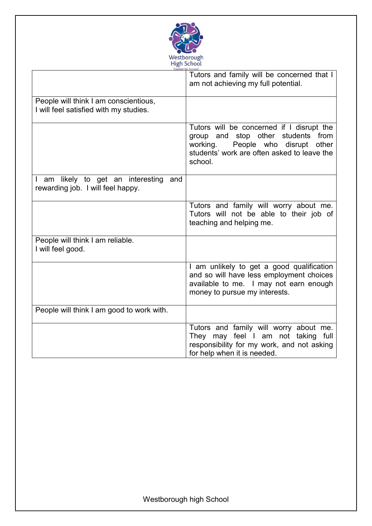

|                                                                                 | Tutors and family will be concerned that I<br>am not achieving my full potential.                                                                                                       |
|---------------------------------------------------------------------------------|-----------------------------------------------------------------------------------------------------------------------------------------------------------------------------------------|
| People will think I am conscientious,<br>I will feel satisfied with my studies. |                                                                                                                                                                                         |
|                                                                                 | Tutors will be concerned if I disrupt the<br>group and stop other<br>students from<br>working.<br>People who disrupt<br>other<br>students' work are often asked to leave the<br>school. |
| I am likely to get an interesting<br>and<br>rewarding job. I will feel happy.   |                                                                                                                                                                                         |
|                                                                                 | Tutors and family will worry about me.<br>Tutors will not be able to their job of<br>teaching and helping me.                                                                           |
| People will think I am reliable.<br>I will feel good.                           |                                                                                                                                                                                         |
|                                                                                 | I am unlikely to get a good qualification<br>and so will have less employment choices<br>available to me. I may not earn enough<br>money to pursue my interests.                        |
| People will think I am good to work with.                                       |                                                                                                                                                                                         |
|                                                                                 | Tutors and family will worry about me.<br>They may feel I am not taking full<br>responsibility for my work, and not asking<br>for help when it is needed.                               |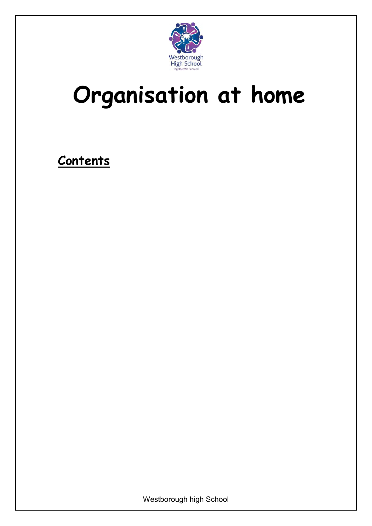

### **Organisation at home**

**Contents**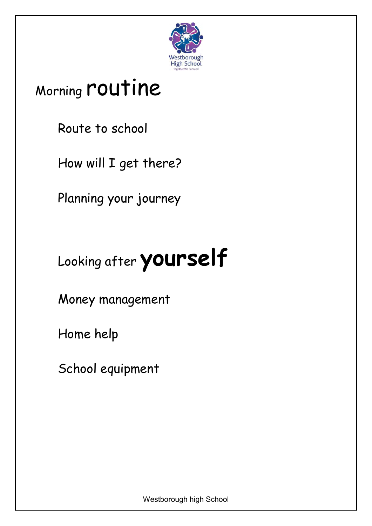

### Morning [routine](#page-35-0)

[Route to school](#page-37-0)

[How will I get there?](#page-38-0)

[Planning your journey](#page-39-0)

### Looking after **[yourself](#page-39-1)**

[Money management](#page-41-0)

[Home help](#page-42-0)

<span id="page-35-0"></span>[School equipment](#page-43-0)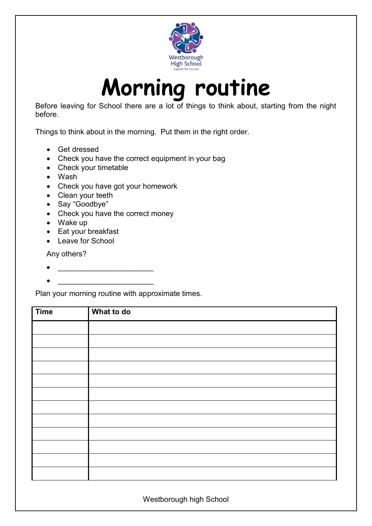

### **Morning routine**

Before leaving for School there are a lot of things to think about, starting from the night before.

Things to think about in the morning. Put them in the right order.

- Get dressed
- Check you have the correct equipment in your bag
- Check your timetable
- Wash
- Check you have got your homework
- Clean your teeth
- Say "Goodbye"
- Check you have the correct money
- Wake up
- Eat your breakfast
- Leave for School

Any others?

\_\_\_\_\_\_\_\_\_\_\_\_\_\_\_\_\_\_\_\_\_\_\_

\_\_\_\_\_\_\_\_\_\_\_\_\_\_\_\_\_\_\_\_\_\_\_

Plan your morning routine with approximate times.

| <b>Time</b> | What to do |
|-------------|------------|
|             |            |
|             |            |
|             |            |
|             |            |
|             |            |
|             |            |
|             |            |
|             |            |
|             |            |
|             |            |
|             |            |
|             |            |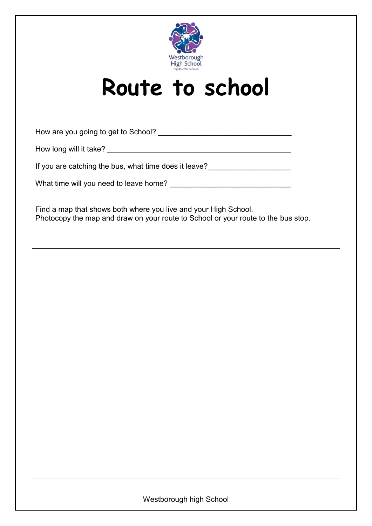

### **Route to school**

<span id="page-37-0"></span>How are you going to get to School? \_\_\_\_\_\_\_\_\_\_\_\_\_\_\_\_\_\_\_\_\_\_\_\_\_\_\_\_\_\_\_\_

How long will it take? \_\_\_\_\_\_\_\_\_\_\_\_\_\_\_\_\_\_\_\_\_\_\_\_\_\_\_\_\_\_\_\_\_\_\_\_\_\_\_\_\_\_\_\_

If you are catching the bus, what time does it leave?

What time will you need to leave home? \_\_\_\_\_\_\_\_\_\_\_\_\_\_\_\_\_\_\_\_\_\_\_\_\_\_\_\_\_

Find a map that shows both where you live and your High School. Photocopy the map and draw on your route to School or your route to the bus stop.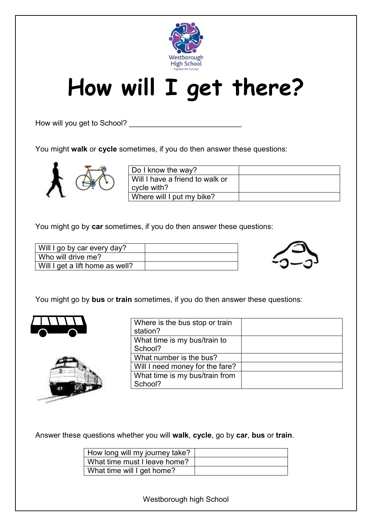

### <span id="page-38-0"></span>**How will I get there?**

How will you get to School? \_\_\_\_\_\_\_\_\_\_\_\_\_\_\_\_\_\_\_\_\_\_\_\_\_\_\_

You might **walk** or **cycle** sometimes, if you do then answer these questions:



| Do I know the way?              |  |
|---------------------------------|--|
| Will I have a friend to walk or |  |
| cycle with?                     |  |
| Where will I put my bike?       |  |

You might go by **car** sometimes, if you do then answer these questions:

| Will I go by car every day?     |  |
|---------------------------------|--|
| Who will drive me?              |  |
| Will I get a lift home as well? |  |



You might go by **bus** or **train** sometimes, if you do then answer these questions:





| Where is the bus stop or train<br>station? |  |
|--------------------------------------------|--|
| What time is my bus/train to               |  |
| School?                                    |  |
| What number is the bus?                    |  |
| Will I need money for the fare?            |  |
| What time is my bus/train from             |  |
| School?                                    |  |

Answer these questions whether you will **walk**, **cycle**, go by **car**, **bus** or **train**.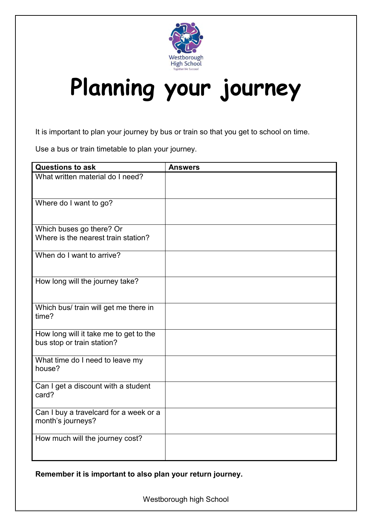

### <span id="page-39-0"></span>**Planning your journey**

It is important to plan your journey by bus or train so that you get to school on time.

Use a bus or train timetable to plan your journey.

| <b>Questions to ask</b>                                              | <b>Answers</b> |
|----------------------------------------------------------------------|----------------|
| What written material do I need?                                     |                |
| Where do I want to go?                                               |                |
| Which buses go there? Or<br>Where is the nearest train station?      |                |
| When do I want to arrive?                                            |                |
| How long will the journey take?                                      |                |
| Which bus/ train will get me there in<br>time?                       |                |
| How long will it take me to get to the<br>bus stop or train station? |                |
| What time do I need to leave my<br>house?                            |                |
| Can I get a discount with a student<br>card?                         |                |
| Can I buy a travelcard for a week or a<br>month's journeys?          |                |
| How much will the journey cost?                                      |                |

<span id="page-39-1"></span>**Remember it is important to also plan your return journey.**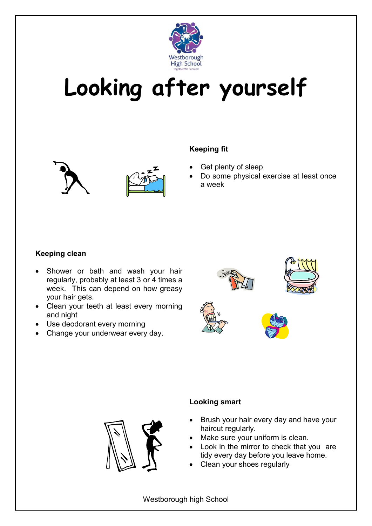

### **Looking after yourself**





#### **Keeping fit**

- Get plenty of sleep
- Do some physical exercise at least once a week

#### **Keeping clean**

- Shower or bath and wash your hair regularly, probably at least 3 or 4 times a week. This can depend on how greasy your hair gets.
- Clean your teeth at least every morning and night
- Use deodorant every morning
- Change your underwear every day.





#### **Looking smart**

- Brush your hair every day and have your haircut regularly.
- Make sure your uniform is clean.
- Look in the mirror to check that you are tidy every day before you leave home.
- Clean your shoes regularly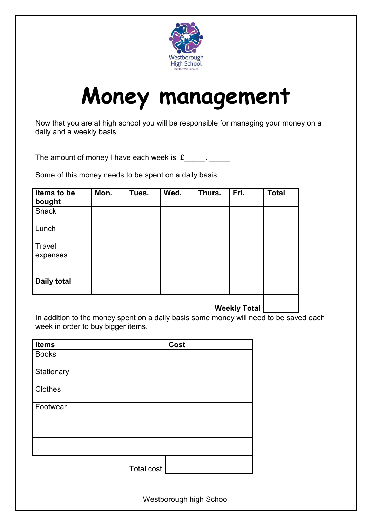

### **Money management**

<span id="page-41-0"></span>Now that you are at high school you will be responsible for managing your money on a daily and a weekly basis.

The amount of money I have each week is  $f_1$  . The sum

Some of this money needs to be spent on a daily basis.

| Items to be<br>bought | Mon. | Tues. | Wed. | Thurs. | Fri. | <b>Total</b> |
|-----------------------|------|-------|------|--------|------|--------------|
| Snack                 |      |       |      |        |      |              |
| Lunch                 |      |       |      |        |      |              |
| Travel<br>expenses    |      |       |      |        |      |              |
|                       |      |       |      |        |      |              |
| <b>Daily total</b>    |      |       |      |        |      |              |
|                       |      |       |      |        |      |              |

#### **Weekly Total**

In addition to the money spent on a daily basis some money will need to be saved each week in order to buy bigger items.

| <b>Items</b>      | Cost |
|-------------------|------|
| <b>Books</b>      |      |
| Stationary        |      |
| Clothes           |      |
| Footwear          |      |
|                   |      |
|                   |      |
| <b>Total cost</b> |      |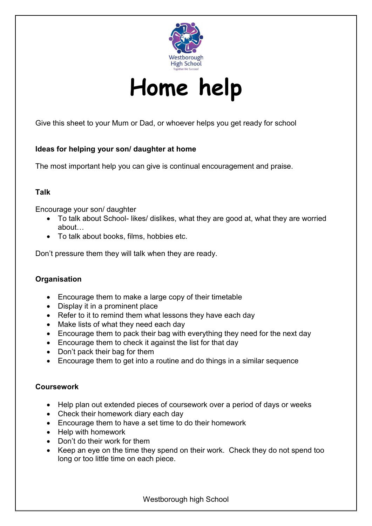

**Home help**

<span id="page-42-0"></span>Give this sheet to your Mum or Dad, or whoever helps you get ready for school

#### **Ideas for helping your son/ daughter at home**

The most important help you can give is continual encouragement and praise.

#### **Talk**

Encourage your son/ daughter

- To talk about School- likes/ dislikes, what they are good at, what they are worried about…
- To talk about books, films, hobbies etc.

Don't pressure them they will talk when they are ready.

#### **Organisation**

- Encourage them to make a large copy of their timetable
- Display it in a prominent place
- Refer to it to remind them what lessons they have each day
- Make lists of what they need each day
- Encourage them to pack their bag with everything they need for the next day
- Encourage them to check it against the list for that day
- Don't pack their bag for them
- Encourage them to get into a routine and do things in a similar sequence

#### **Coursework**

- Help plan out extended pieces of coursework over a period of days or weeks
- Check their homework diary each day
- Encourage them to have a set time to do their homework
- Help with homework
- Don't do their work for them
- Keep an eye on the time they spend on their work. Check they do not spend too long or too little time on each piece.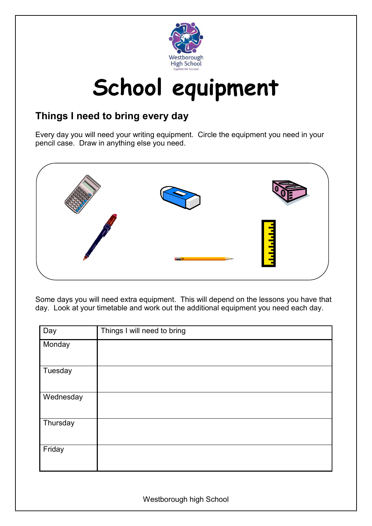

### **School equipment**

#### <span id="page-43-0"></span>**Things I need to bring every day**

Every day you will need your writing equipment. Circle the equipment you need in your pencil case. Draw in anything else you need.



Some days you will need extra equipment. This will depend on the lessons you have that day. Look at your timetable and work out the additional equipment you need each day.

| Day       | Things I will need to bring |
|-----------|-----------------------------|
| Monday    |                             |
|           |                             |
| Tuesday   |                             |
| Wednesday |                             |
| Thursday  |                             |
| Friday    |                             |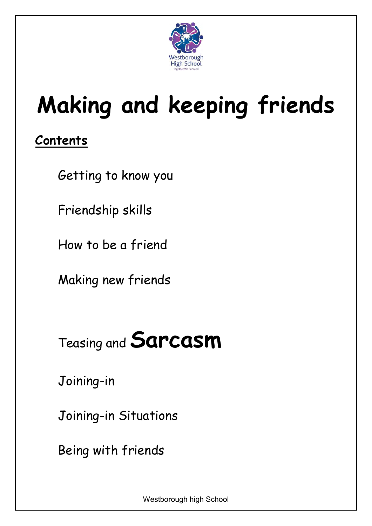

### **Making and keeping friends**

### **Contents**

[Getting to know you](#page-45-0)

[Friendship skills](#page-46-0)

[How to be a friend](#page-47-0)

[Making new friends](#page-48-0)

### Teasing and **[Sarcasm](#page-48-1)**

[Joining-in](#page-50-0)

[Joining-in Situations](#page-51-0)

[Being with friends](#page-52-0)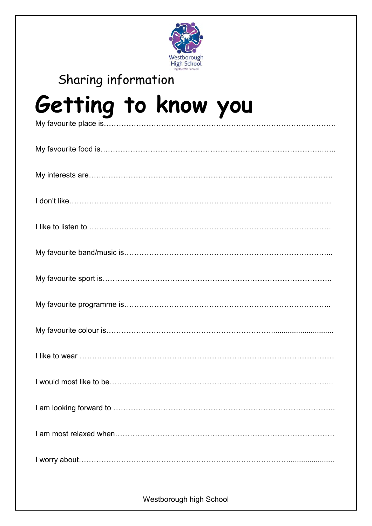

### <span id="page-45-0"></span>[Sharing information](#page-54-0) **Getting to know you** My favourite place is…………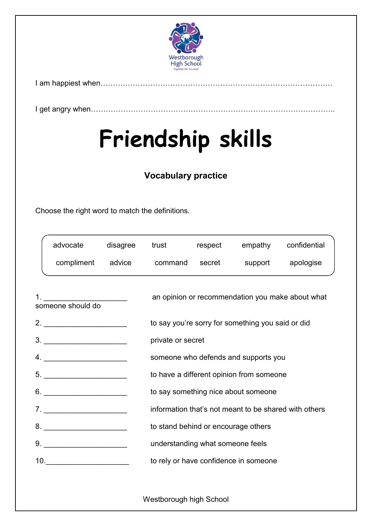

I am happiest when…………………………………………………………………………………

<span id="page-46-0"></span>I get angry when……………………………………………………………………………………..

### **Friendship skills**

#### **Vocabulary practice**

Choose the right word to match the definitions.

| advocate                                                                                                                                  | disagree |                                                       |                | trust respect empathy confidential                |                                                  |  |  |
|-------------------------------------------------------------------------------------------------------------------------------------------|----------|-------------------------------------------------------|----------------|---------------------------------------------------|--------------------------------------------------|--|--|
| compliment advice                                                                                                                         |          |                                                       | command secret |                                                   | support apologise                                |  |  |
| <u> 1980 - Jan Stein Stein Stein Stein Stein Stein Stein Stein Stein Stein Stein Stein Stein Stein Stein Stein S</u><br>someone should do |          |                                                       |                |                                                   | an opinion or recommendation you make about what |  |  |
| 2. $\qquad \qquad$                                                                                                                        |          |                                                       |                | to say you're sorry for something you said or did |                                                  |  |  |
| $\begin{tabular}{c} 3. \end{tabular}$                                                                                                     |          | private or secret                                     |                |                                                   |                                                  |  |  |
| 4.                                                                                                                                        |          | someone who defends and supports you                  |                |                                                   |                                                  |  |  |
| $5. \underline{\hspace{2cm}}$                                                                                                             |          | to have a different opinion from someone              |                |                                                   |                                                  |  |  |
|                                                                                                                                           |          | to say something nice about someone                   |                |                                                   |                                                  |  |  |
| 7.                                                                                                                                        |          | information that's not meant to be shared with others |                |                                                   |                                                  |  |  |
|                                                                                                                                           |          | to stand behind or encourage others                   |                |                                                   |                                                  |  |  |
|                                                                                                                                           |          | understanding what someone feels                      |                |                                                   |                                                  |  |  |
|                                                                                                                                           |          | to rely or have confidence in someone                 |                |                                                   |                                                  |  |  |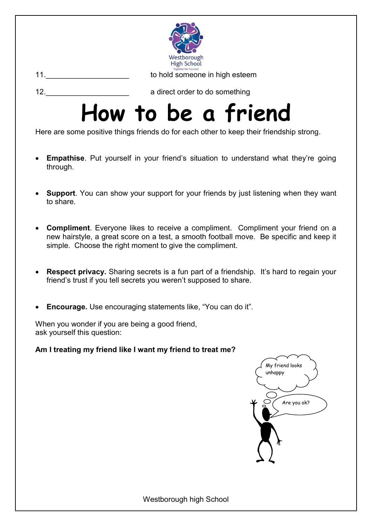

<span id="page-47-0"></span>

12. **12.** a direct order to do something

### **How to be a friend**

Here are some positive things friends do for each other to keep their friendship strong.

- **Empathise**. Put yourself in your friend's situation to understand what they're going through.
- **Support**. You can show your support for your friends by just listening when they want to share.
- **Compliment**. Everyone likes to receive a compliment. Compliment your friend on a new hairstyle, a great score on a test, a smooth football move. Be specific and keep it simple. Choose the right moment to give the compliment.
- **Respect privacy.** Sharing secrets is a fun part of a friendship. It's hard to regain your friend's trust if you tell secrets you weren't supposed to share.
- **Encourage.** Use encouraging statements like, "You can do it".

When you wonder if you are being a good friend, ask yourself this question:

**Am I treating my friend like I want my friend to treat me?**

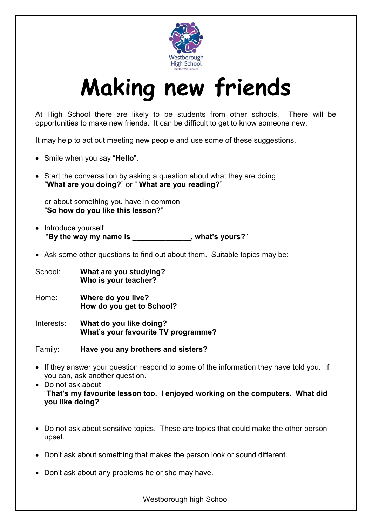

### **Making new friends**

<span id="page-48-0"></span>At High School there are likely to be students from other schools. There will be opportunities to make new friends. It can be difficult to get to know someone new.

It may help to act out meeting new people and use some of these suggestions.

- Smile when you say "**Hello**".
- Start the conversation by asking a question about what they are doing "**What are you doing?**" or " **What are you reading?**"

or about something you have in common "**So how do you like this lesson?**"

- Introduce yourself "**By the way my name is \_\_\_\_\_\_\_\_\_\_\_\_\_\_, what's yours?**"
- Ask some other questions to find out about them. Suitable topics may be:

School: **What are you studying? Who is your teacher?**

- Home: **Where do you live? How do you get to School?**
- Interests: **What do you like doing? What's your favourite TV programme?**

Family: **Have you any brothers and sisters?**

- If they answer your question respond to some of the information they have told you. If you can, ask another question.
- Do not ask about "**That's my favourite lesson too. I enjoyed working on the computers. What did you like doing?**"
- Do not ask about sensitive topics. These are topics that could make the other person upset.
- Don't ask about something that makes the person look or sound different.
- <span id="page-48-1"></span>Don't ask about any problems he or she may have.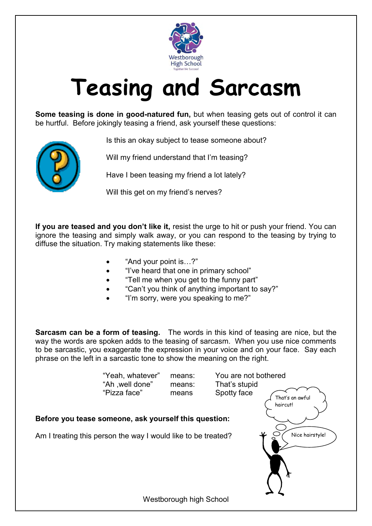

### **Teasing and Sarcasm**

**Some teasing is done in good-natured fun,** but when teasing gets out of control it can be hurtful. Before jokingly teasing a friend, ask yourself these questions:



Is this an okay subject to tease someone about?

Will my friend understand that I'm teasing?

Have I been teasing my friend a lot lately?

Will this get on my friend's nerves?

**If you are teased and you don't like it,** resist the urge to hit or push your friend. You can ignore the teasing and simply walk away, or you can respond to the teasing by trying to diffuse the situation. Try making statements like these:

- "And your point is…?"
- "I've heard that one in primary school"
- "Tell me when you get to the funny part"
- "Can't you think of anything important to say?"
- "I'm sorry, were you speaking to me?"

**Sarcasm can be a form of teasing.** The words in this kind of teasing are nice, but the way the words are spoken adds to the teasing of sarcasm. When you use nice comments to be sarcastic, you exaggerate the expression in your voice and on your face. Say each phrase on the left in a sarcastic tone to show the meaning on the right.

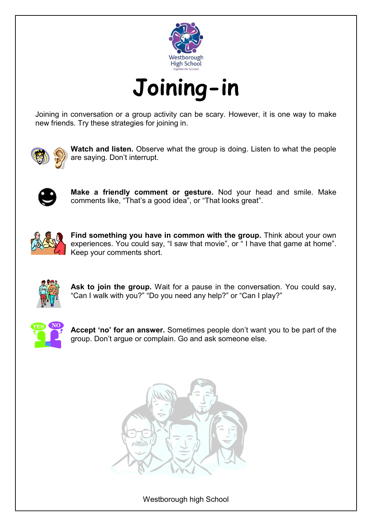

<span id="page-50-0"></span>Joining in conversation or a group activity can be scary. However, it is one way to make new friends. Try these strategies for joining in.



**Watch and listen.** Observe what the group is doing. Listen to what the people are saying. Don't interrupt.



**Make a friendly comment or gesture.** Nod your head and smile. Make comments like, "That's a good idea", or "That looks great".



Find something you have in common with the group. Think about your own experiences. You could say, "I saw that movie", or "I have that game at home". Keep your comments short.



**Ask to join the group.** Wait for a pause in the conversation. You could say, "Can I walk with you?" "Do you need any help?" or "Can I play?"



**Accept 'no' for an answer.** Sometimes people don't want you to be part of the group. Don't argue or complain. Go and ask someone else.

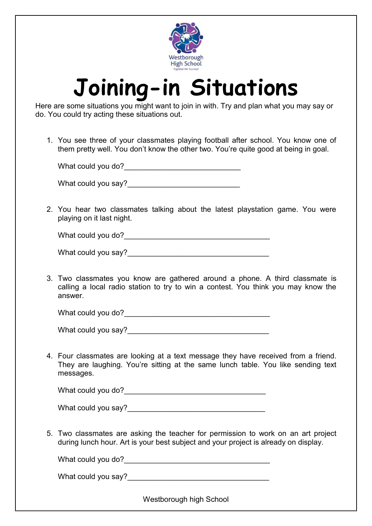

### **Joining-in Situations**

<span id="page-51-0"></span>Here are some situations you might want to join in with. Try and plan what you may say or do. You could try acting these situations out.

1. You see three of your classmates playing football after school. You know one of them pretty well. You don't know the other two. You're quite good at being in goal.

| What could you do? |  |
|--------------------|--|
|                    |  |

What could you say?

2. You hear two classmates talking about the latest playstation game. You were playing on it last night.

| What could you do? |  |
|--------------------|--|
|--------------------|--|

| What could you say? |  |
|---------------------|--|
|---------------------|--|

3. Two classmates you know are gathered around a phone. A third classmate is calling a local radio station to try to win a contest. You think you may know the answer.

What could you do?

What could you say?

4. Four classmates are looking at a text message they have received from a friend. They are laughing. You're sitting at the same lunch table. You like sending text messages.

What could you do?

| What could you say? |  |
|---------------------|--|
|                     |  |

5. Two classmates are asking the teacher for permission to work on an art project during lunch hour. Art is your best subject and your project is already on display.

What could you do?

What could you say?<br>
<u>Letting</u>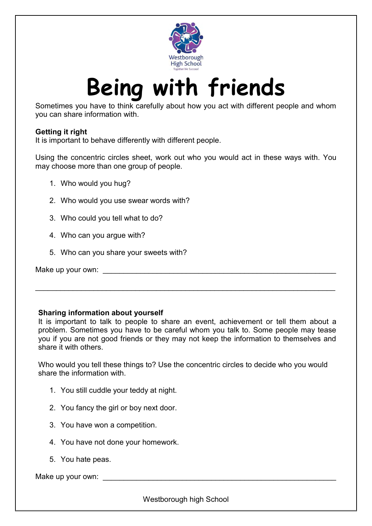

### **Being with friends**

<span id="page-52-0"></span>Sometimes you have to think carefully about how you act with different people and whom you can share information with.

#### **Getting it right**

It is important to behave differently with different people.

Using the concentric circles sheet, work out who you would act in these ways with. You may choose more than one group of people.

- 1. Who would you hug?
- 2. Who would you use swear words with?
- 3. Who could you tell what to do?
- 4. Who can you argue with?
- 5. Who can you share your sweets with?

Make up your own:

#### **Sharing information about yourself**

It is important to talk to people to share an event, achievement or tell them about a problem. Sometimes you have to be careful whom you talk to. Some people may tease you if you are not good friends or they may not keep the information to themselves and share it with others.

 $\Box$ 

Who would you tell these things to? Use the concentric circles to decide who you would share the information with.

- 1. You still cuddle your teddy at night.
- 2. You fancy the girl or boy next door.
- 3. You have won a competition.
- 4. You have not done your homework.
- 5. You hate peas.

Make up your own:  $\blacksquare$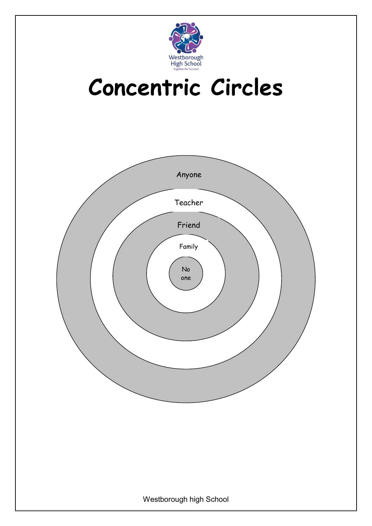

### **Concentric Circles**

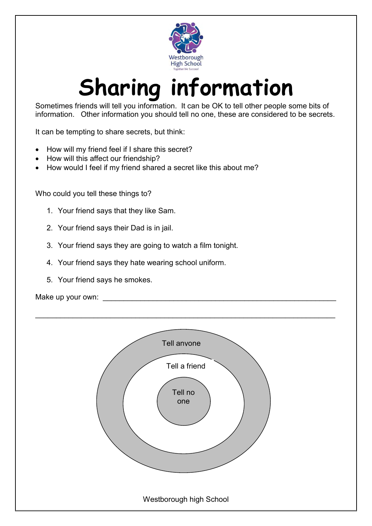

### **Sharing information**

<span id="page-54-0"></span>Sometimes friends will tell you information. It can be OK to tell other people some bits of information. Other information you should tell no one, these are considered to be secrets.

It can be tempting to share secrets, but think:

- How will my friend feel if I share this secret?
- How will this affect our friendship?
- How would I feel if my friend shared a secret like this about me?

Who could you tell these things to?

- 1. Your friend says that they like Sam.
- 2. Your friend says their Dad is in jail.
- 3. Your friend says they are going to watch a film tonight.
- 4. Your friend says they hate wearing school uniform.
- 5. Your friend says he smokes.

Make up your own:

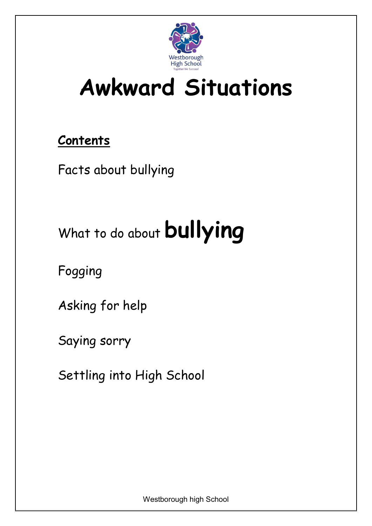

### **Awkward Situations**

### **Contents**

[Facts about bullying](#page-56-0)

### What to do about **[bullying](#page-56-1)**

[Fogging](#page-58-0)

[Asking for help](#page-59-0)

[Saying sorry](#page-60-0)

[Settling into High School](#page-61-0)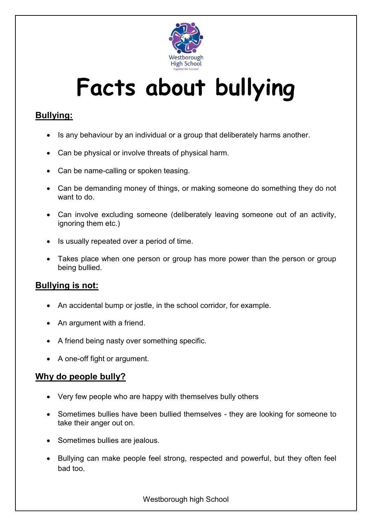

### **Facts about bullying**

#### <span id="page-56-0"></span>**Bullying:**

- Is any behaviour by an individual or a group that deliberately harms another.
- Can be physical or involve threats of physical harm.
- Can be name-calling or spoken teasing.
- Can be demanding money of things, or making someone do something they do not want to do.
- Can involve excluding someone (deliberately leaving someone out of an activity, ignoring them etc.)
- Is usually repeated over a period of time.
- Takes place when one person or group has more power than the person or group being bullied.

#### **Bullying is not:**

- An accidental bump or jostle, in the school corridor, for example.
- An argument with a friend.
- A friend being nasty over something specific.
- A one-off fight or argument.

#### **Why do people bully?**

- Very few people who are happy with themselves bully others
- Sometimes bullies have been bullied themselves they are looking for someone to take their anger out on.
- Sometimes bullies are jealous.
- <span id="page-56-1"></span>• Bullying can make people feel strong, respected and powerful, but they often feel bad too.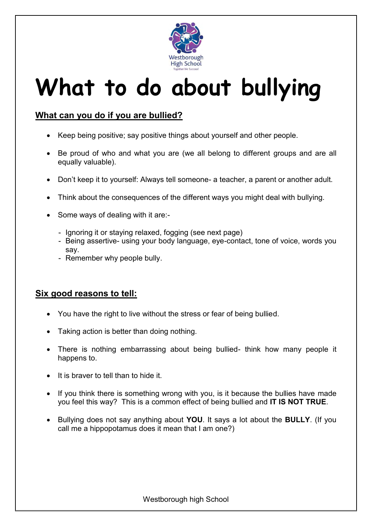

### **What to do about bullying**

#### **What can you do if you are bullied?**

- Keep being positive; say positive things about yourself and other people.
- Be proud of who and what you are (we all belong to different groups and are all equally valuable).
- Don't keep it to yourself: Always tell someone- a teacher, a parent or another adult.
- Think about the consequences of the different ways you might deal with bullying.
- Some ways of dealing with it are:-
	- Ignoring it or staying relaxed, fogging (see next page)
	- Being assertive- using your body language, eye-contact, tone of voice, words you say.
	- Remember why people bully.

#### **Six good reasons to tell:**

- You have the right to live without the stress or fear of being bullied.
- Taking action is better than doing nothing.
- There is nothing embarrassing about being bullied- think how many people it happens to.
- It is braver to tell than to hide it.
- If you think there is something wrong with you, is it because the bullies have made you feel this way? This is a common effect of being bullied and **IT IS NOT TRUE**.
- Bullying does not say anything about **YOU**. It says a lot about the **BULLY**. (If you call me a hippopotamus does it mean that I am one?)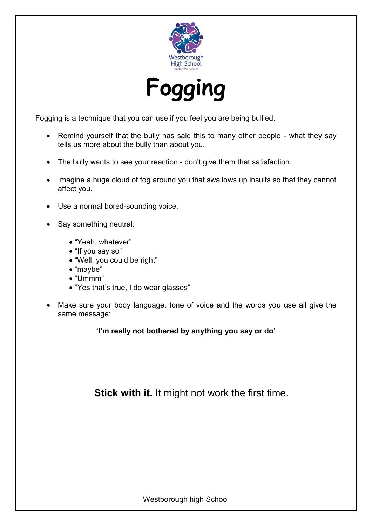

<span id="page-58-0"></span>Fogging is a technique that you can use if you feel you are being bullied.

- Remind yourself that the bully has said this to many other people what they say tells us more about the bully than about you.
- The bully wants to see your reaction don't give them that satisfaction.
- Imagine a huge cloud of fog around you that swallows up insults so that they cannot affect you.
- Use a normal bored-sounding voice.
- Say something neutral:
	- "Yeah, whatever"
	- "If you say so"
	- "Well, you could be right"
	- "maybe"
	- "Ummm"
	- "Yes that's true, I do wear glasses"
- Make sure your body language, tone of voice and the words you use all give the same message:

**'I'm really not bothered by anything you say or do'**

**Stick with it.** It might not work the first time.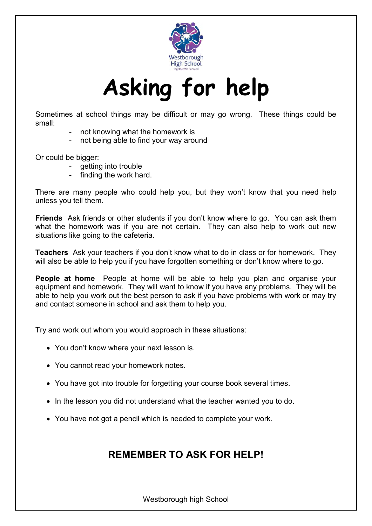

### **Asking for help**

<span id="page-59-0"></span>Sometimes at school things may be difficult or may go wrong. These things could be small:

- not knowing what the homework is
- not being able to find your way around

Or could be bigger:

- getting into trouble
- finding the work hard.

There are many people who could help you, but they won't know that you need help unless you tell them.

**Friends** Ask friends or other students if you don't know where to go. You can ask them what the homework was if you are not certain. They can also help to work out new situations like going to the cafeteria.

**Teachers** Ask your teachers if you don't know what to do in class or for homework. They will also be able to help you if you have forgotten something or don't know where to go.

**People at home** People at home will be able to help you plan and organise your equipment and homework. They will want to know if you have any problems. They will be able to help you work out the best person to ask if you have problems with work or may try and contact someone in school and ask them to help you.

Try and work out whom you would approach in these situations:

- You don't know where your next lesson is.
- You cannot read your homework notes.
- You have got into trouble for forgetting your course book several times.
- In the lesson you did not understand what the teacher wanted you to do.
- You have not got a pencil which is needed to complete your work.

#### **REMEMBER TO ASK FOR HELP!**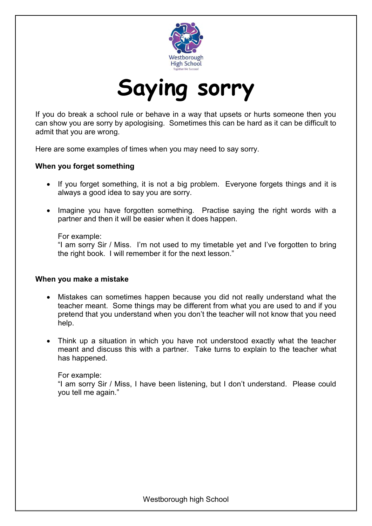

<span id="page-60-0"></span>If you do break a school rule or behave in a way that upsets or hurts someone then you can show you are sorry by apologising. Sometimes this can be hard as it can be difficult to admit that you are wrong.

Here are some examples of times when you may need to say sorry.

#### **When you forget something**

- If you forget something, it is not a big problem. Everyone forgets things and it is always a good idea to say you are sorry.
- Imagine you have forgotten something. Practise saying the right words with a partner and then it will be easier when it does happen.

For example:

"I am sorry Sir / Miss. I'm not used to my timetable yet and I've forgotten to bring the right book. I will remember it for the next lesson."

#### **When you make a mistake**

- Mistakes can sometimes happen because you did not really understand what the teacher meant. Some things may be different from what you are used to and if you pretend that you understand when you don't the teacher will not know that you need help.
- Think up a situation in which you have not understood exactly what the teacher meant and discuss this with a partner. Take turns to explain to the teacher what has happened.

For example:

"I am sorry Sir / Miss, I have been listening, but I don't understand. Please could you tell me again."